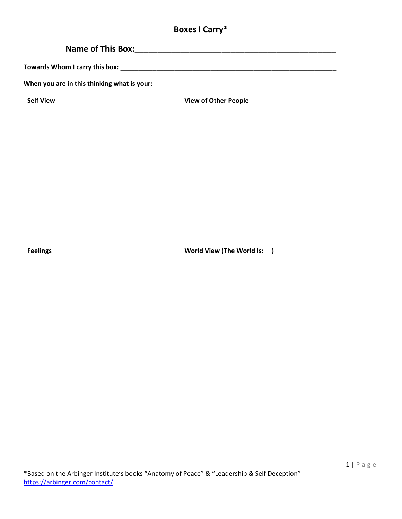## **Boxes I Carry\***

# **Name of This Box:\_\_\_\_\_\_\_\_\_\_\_\_\_\_\_\_\_\_\_\_\_\_\_\_\_\_\_\_\_\_\_\_\_\_\_\_\_\_\_\_\_\_\_\_**

**Towards Whom I carry this box: \_\_\_\_\_\_\_\_\_\_\_\_\_\_\_\_\_\_\_\_\_\_\_\_\_\_\_\_\_\_\_\_\_\_\_\_\_\_\_\_\_\_\_\_\_\_\_\_\_\_\_\_\_\_\_\_\_\_\_\_**

**When you are in this thinking what is your:**

| <b>Self View</b> | <b>View of Other People</b> |
|------------------|-----------------------------|
|                  |                             |
|                  |                             |
|                  |                             |
|                  |                             |
|                  |                             |
|                  |                             |
|                  |                             |
|                  |                             |
|                  |                             |
|                  |                             |
|                  |                             |
|                  |                             |
|                  |                             |
|                  |                             |
|                  |                             |
|                  |                             |
| <b>Feelings</b>  | World View (The World Is: ) |
|                  |                             |
|                  |                             |
|                  |                             |
|                  |                             |
|                  |                             |
|                  |                             |
|                  |                             |
|                  |                             |
|                  |                             |
|                  |                             |
|                  |                             |
|                  |                             |
|                  |                             |
|                  |                             |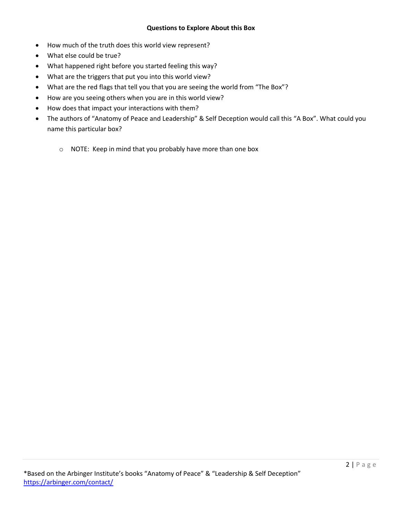## **Questions to Explore About this Box**

- How much of the truth does this world view represent?
- What else could be true?
- What happened right before you started feeling this way?
- What are the triggers that put you into this world view?
- What are the red flags that tell you that you are seeing the world from "The Box"?
- How are you seeing others when you are in this world view?
- How does that impact your interactions with them?
- The authors of "Anatomy of Peace and Leadership" & Self Deception would call this "A Box". What could you name this particular box?
	- o NOTE: Keep in mind that you probably have more than one box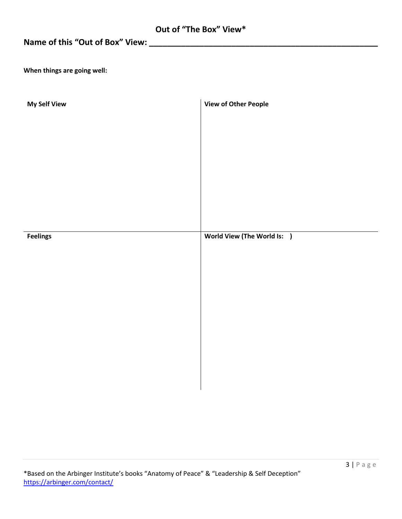## **Name of this "Out of Box" View: \_\_\_\_\_\_\_\_\_\_\_\_\_\_\_\_\_\_\_\_\_\_\_\_\_\_\_\_\_\_\_\_\_\_\_\_\_\_\_\_\_\_\_\_\_\_\_\_\_\_**

**When things are going well:**

| <b>My Self View</b> | <b>View of Other People</b> |
|---------------------|-----------------------------|
|                     |                             |
|                     |                             |
|                     |                             |
|                     |                             |
|                     |                             |
|                     |                             |
| <b>Feelings</b>     | World View (The World Is: ) |
|                     |                             |
|                     |                             |
|                     |                             |
|                     |                             |
|                     |                             |
|                     |                             |
|                     |                             |
|                     |                             |
|                     |                             |
|                     |                             |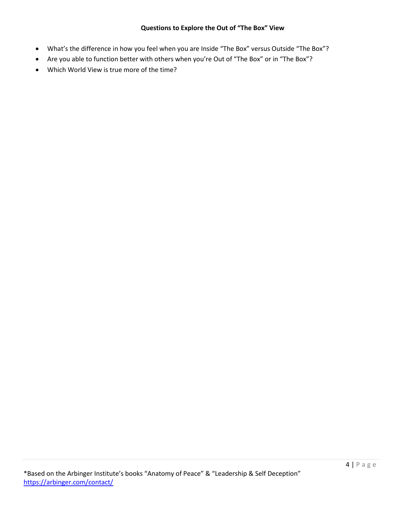## **Questions to Explore the Out of "The Box" View**

- What's the difference in how you feel when you are Inside "The Box" versus Outside "The Box"?
- Are you able to function better with others when you're Out of "The Box" or in "The Box"?
- Which World View is true more of the time?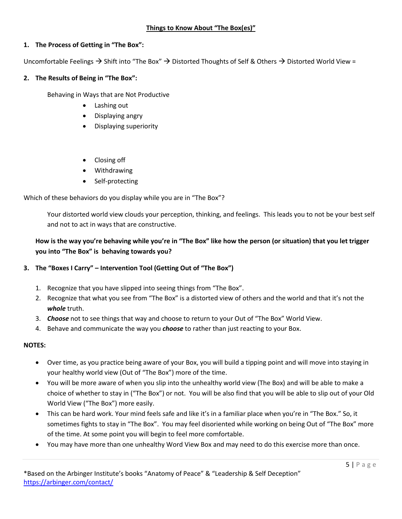## **Things to Know About "The Box(es)"**

## **1. The Process of Getting in "The Box":**

Uncomfortable Feelings  $\rightarrow$  Shift into "The Box"  $\rightarrow$  Distorted Thoughts of Self & Others  $\rightarrow$  Distorted World View =

## **2. The Results of Being in "The Box":**

Behaving in Ways that are Not Productive

- Lashing out
- Displaying angry
- Displaying superiority
- Closing off
- Withdrawing
- Self-protecting

Which of these behaviors do you display while you are in "The Box"?

Your distorted world view clouds your perception, thinking, and feelings. This leads you to not be your best self and not to act in ways that are constructive.

## **How is the way you're behaving while you're in "The Box" like how the person (or situation) that you let trigger you into "The Box" is behaving towards you?**

## **3. The "Boxes I Carry" – Intervention Tool (Getting Out of "The Box")**

- 1. Recognize that you have slipped into seeing things from "The Box".
- 2. Recognize that what you see from "The Box" is a distorted view of others and the world and that it's not the *whole* truth.
- 3. *Choose* not to see things that way and choose to return to your Out of "The Box" World View.
- 4. Behave and communicate the way you *choose* to rather than just reacting to your Box.

## **NOTES:**

- Over time, as you practice being aware of your Box, you will build a tipping point and will move into staying in your healthy world view (Out of "The Box") more of the time.
- You will be more aware of when you slip into the unhealthy world view (The Box) and will be able to make a choice of whether to stay in ("The Box") or not. You will be also find that you will be able to slip out of your Old World View ("The Box") more easily.
- This can be hard work. Your mind feels safe and like it's in a familiar place when you're in "The Box." So, it sometimes fights to stay in "The Box". You may feel disoriented while working on being Out of "The Box" more of the time. At some point you will begin to feel more comfortable.
- You may have more than one unhealthy Word View Box and may need to do this exercise more than once.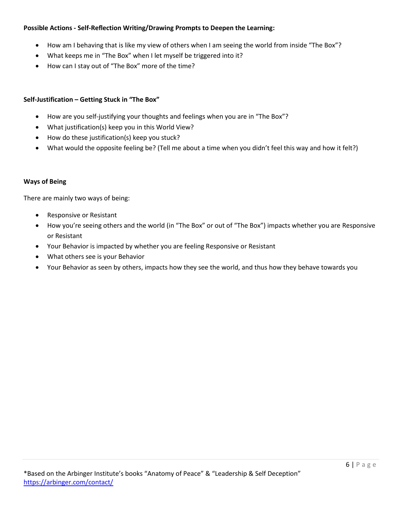## **Possible Actions - Self-Reflection Writing/Drawing Prompts to Deepen the Learning:**

- How am I behaving that is like my view of others when I am seeing the world from inside "The Box"?
- What keeps me in "The Box" when I let myself be triggered into it?
- How can I stay out of "The Box" more of the time?

## **Self-Justification – Getting Stuck in "The Box"**

- How are you self-justifying your thoughts and feelings when you are in "The Box"?
- What justification(s) keep you in this World View?
- How do these justification(s) keep you stuck?
- What would the opposite feeling be? (Tell me about a time when you didn't feel this way and how it felt?)

#### **Ways of Being**

There are mainly two ways of being:

- Responsive or Resistant
- How you're seeing others and the world (in "The Box" or out of "The Box") impacts whether you are Responsive or Resistant
- Your Behavior is impacted by whether you are feeling Responsive or Resistant
- What others see is your Behavior
- Your Behavior as seen by others, impacts how they see the world, and thus how they behave towards you